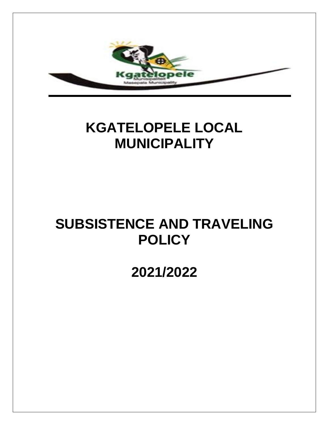

# **KGATELOPELE LOCAL MUNICIPALITY**

# **SUBSISTENCE AND TRAVELING POLICY**

## **2021/2022**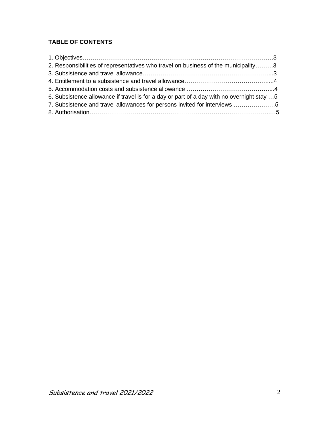## **TABLE OF CONTENTS**

| 2. Responsibilities of representatives who travel on business of the municipality3        |  |
|-------------------------------------------------------------------------------------------|--|
|                                                                                           |  |
|                                                                                           |  |
|                                                                                           |  |
| 6. Subsistence allowance if travel is for a day or part of a day with no overnight stay 5 |  |
| 7. Subsistence and travel allowances for persons invited for interviews 5                 |  |
|                                                                                           |  |
|                                                                                           |  |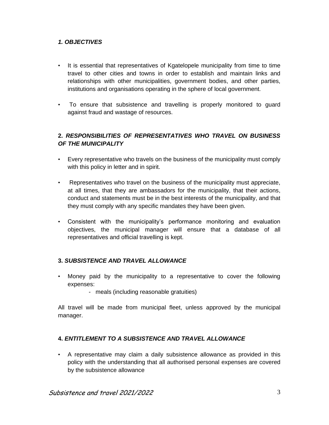#### *1. OBJECTIVES*

- It is essential that representatives of Kgatelopele municipality from time to time travel to other cities and towns in order to establish and maintain links and relationships with other municipalities, government bodies, and other parties, institutions and organisations operating in the sphere of local government.
- To ensure that subsistence and travelling is properly monitored to guard against fraud and wastage of resources.

#### **2.** *RESPONSIBILITIES OF REPRESENTATIVES WHO TRAVEL ON BUSINESS OF THE MUNICIPALITY*

- Every representative who travels on the business of the municipality must comply with this policy in letter and in spirit.
- Representatives who travel on the business of the municipality must appreciate, at all times, that they are ambassadors for the municipality, that their actions, conduct and statements must be in the best interests of the municipality, and that they must comply with any specific mandates they have been given.
- Consistent with the municipality's performance monitoring and evaluation objectives, the municipal manager will ensure that a database of all representatives and official travelling is kept.

#### **3.** *SUBSISTENCE AND TRAVEL ALLOWANCE*

- Money paid by the municipality to a representative to cover the following expenses:
	- meals (including reasonable gratuities)

All travel will be made from municipal fleet, unless approved by the municipal manager.

#### **4.** *ENTITLEMENT TO A SUBSISTENCE AND TRAVEL ALLOWANCE*

• A representative may claim a daily subsistence allowance as provided in this policy with the understanding that all authorised personal expenses are covered by the subsistence allowance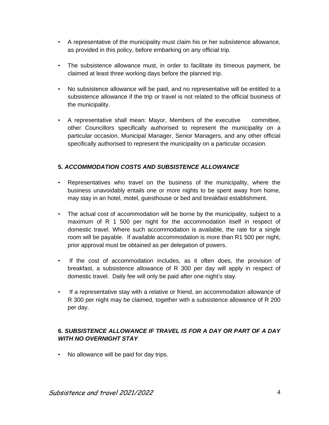- A representative of the municipality must claim his or her subsistence allowance, as provided in this policy, before embarking on any official trip.
- The subsistence allowance must, in order to facilitate its timeous payment, be claimed at least three working days before the planned trip.
- No subsistence allowance will be paid, and no representative will be entitled to a subsistence allowance if the trip or travel is not related to the official business of the municipality.
- A representative shall mean: Mayor, Members of the executive committee, other Councillors specifically authorised to represent the municipality on a particular occasion, Municipal Manager, Senior Managers, and any other official specifically authorised to represent the municipality on a particular occasion.

#### **5.** *ACCOMMODATION COSTS AND SUBSISTENCE ALLOWANCE*

- Representatives who travel on the business of the municipality, where the business unavoidably entails one or more nights to be spent away from home, may stay in an hotel, motel, guesthouse or bed and breakfast establishment.
- The actual cost of accommodation will be borne by the municipality, subject to a maximum of R 1 500 per night for the accommodation itself in respect of domestic travel. Where such accommodation is available, the rate for a single room will be payable. If available accommodation is more than R1 500 per night, prior approval must be obtained as per delegation of powers.
- If the cost of accommodation includes, as it often does, the provision of breakfast, a subsistence allowance of R 300 per day will apply in respect of domestic travel. Daily fee will only be paid after one night's stay.
- If a representative stay with a relative or friend, an accommodation allowance of R 300 per night may be claimed, together with a subsistence allowance of R 200 per day.

### **6.** *SUBSISTENCE ALLOWANCE IF TRAVEL IS FOR A DAY OR PART OF A DAY WITH NO OVERNIGHT STAY*

• No allowance will be paid for day trips.